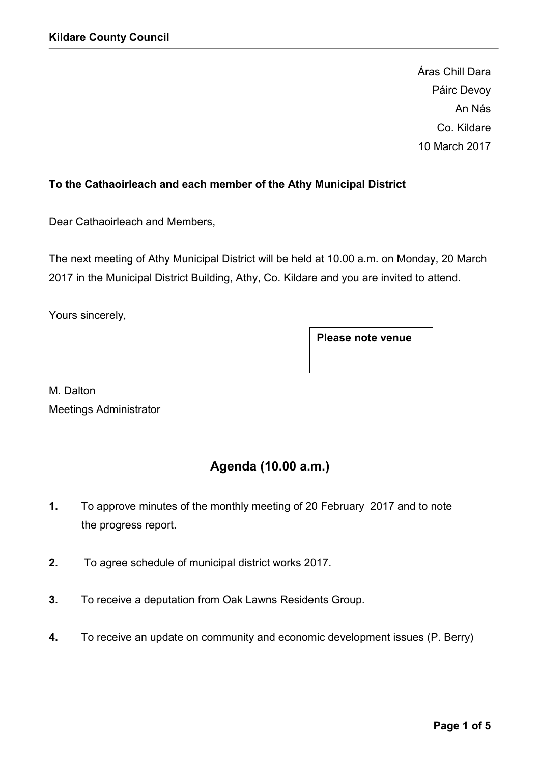Áras Chill Dara Páirc Devoy An Nás Co. Kildare 10 March 2017

## To the Cathaoirleach and each member of the Athy Municipal District

Dear Cathaoirleach and Members,

The next meeting of Athy Municipal District will be held at 10.00 a.m. on Monday, 20 March 2017 in the Municipal District Building, Athy, Co. Kildare and you are invited to attend.

Yours sincerely,

Please note venue

M. Dalton Meetings Administrator

# Agenda (10.00 a.m.)

- 1. To approve minutes of the monthly meeting of 20 February 2017 and to note the progress report.
- 2. To agree schedule of municipal district works 2017.
- 3. To receive a deputation from Oak Lawns Residents Group.
- 4. To receive an update on community and economic development issues (P. Berry)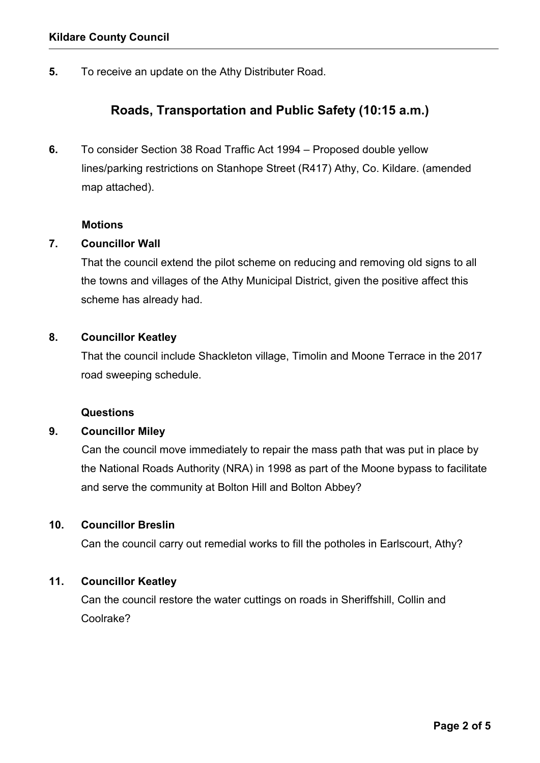5. To receive an update on the Athy Distributer Road.

## Roads, Transportation and Public Safety (10:15 a.m.)

6. To consider Section 38 Road Traffic Act 1994 – Proposed double yellow lines/parking restrictions on Stanhope Street (R417) Athy, Co. Kildare. (amended map attached).

#### **Motions**

## 7. Councillor Wall

That the council extend the pilot scheme on reducing and removing old signs to all the towns and villages of the Athy Municipal District, given the positive affect this scheme has already had.

#### 8. Councillor Keatley

That the council include Shackleton village, Timolin and Moone Terrace in the 2017 road sweeping schedule.

#### Questions

## 9. Councillor Miley

Can the council move immediately to repair the mass path that was put in place by the National Roads Authority (NRA) in 1998 as part of the Moone bypass to facilitate and serve the community at Bolton Hill and Bolton Abbey?

#### 10. Councillor Breslin

Can the council carry out remedial works to fill the potholes in Earlscourt, Athy?

## 11. Councillor Keatley

Can the council restore the water cuttings on roads in Sheriffshill, Collin and Coolrake?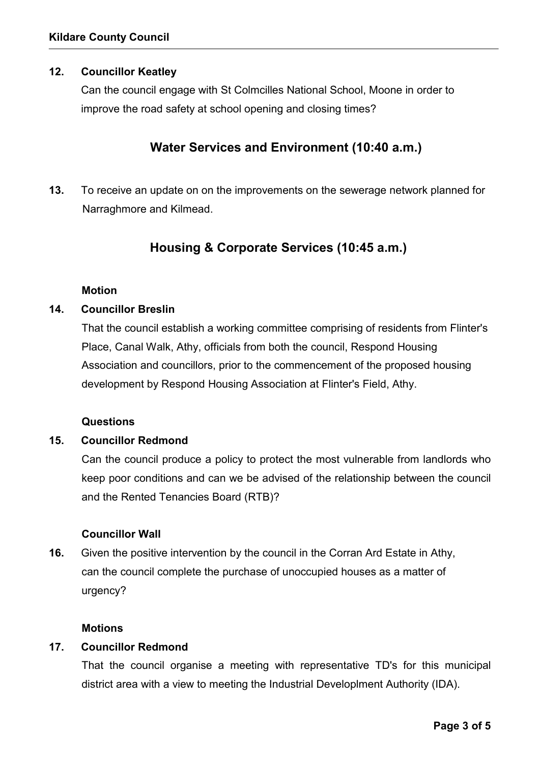## 12. Councillor Keatley

Can the council engage with St Colmcilles National School, Moone in order to improve the road safety at school opening and closing times?

## Water Services and Environment (10:40 a.m.)

13. To receive an update on on the improvements on the sewerage network planned for Narraghmore and Kilmead.

## Housing & Corporate Services (10:45 a.m.)

#### Motion

#### 14. Councillor Breslin

That the council establish a working committee comprising of residents from Flinter's Place, Canal Walk, Athy, officials from both the council, Respond Housing Association and councillors, prior to the commencement of the proposed housing development by Respond Housing Association at Flinter's Field, Athy.

## **Questions**

#### 15. Councillor Redmond

Can the council produce a policy to protect the most vulnerable from landlords who keep poor conditions and can we be advised of the relationship between the council and the Rented Tenancies Board (RTB)?

#### Councillor Wall

16. Given the positive intervention by the council in the Corran Ard Estate in Athy, can the council complete the purchase of unoccupied houses as a matter of urgency?

#### **Motions**

#### 17. Councillor Redmond

That the council organise a meeting with representative TD's for this municipal district area with a view to meeting the Industrial Developlment Authority (IDA).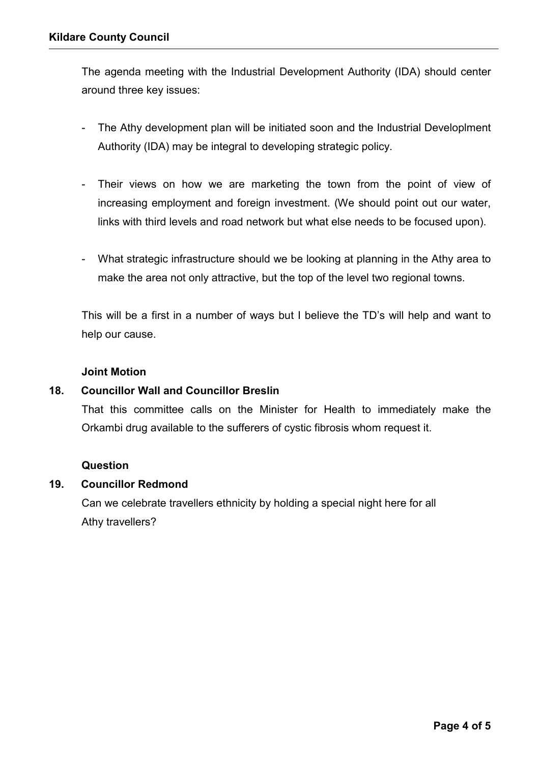The agenda meeting with the Industrial Development Authority (IDA) should center around three key issues:

- The Athy development plan will be initiated soon and the Industrial Developlment Authority (IDA) may be integral to developing strategic policy.
- Their views on how we are marketing the town from the point of view of increasing employment and foreign investment. (We should point out our water, links with third levels and road network but what else needs to be focused upon).
- What strategic infrastructure should we be looking at planning in the Athy area to make the area not only attractive, but the top of the level two regional towns.

This will be a first in a number of ways but I believe the TD's will help and want to help our cause.

#### Joint Motion

## 18. Councillor Wall and Councillor Breslin

That this committee calls on the Minister for Health to immediately make the Orkambi drug available to the sufferers of cystic fibrosis whom request it.

#### Question

#### 19. Councillor Redmond

Can we celebrate travellers ethnicity by holding a special night here for all Athy travellers?